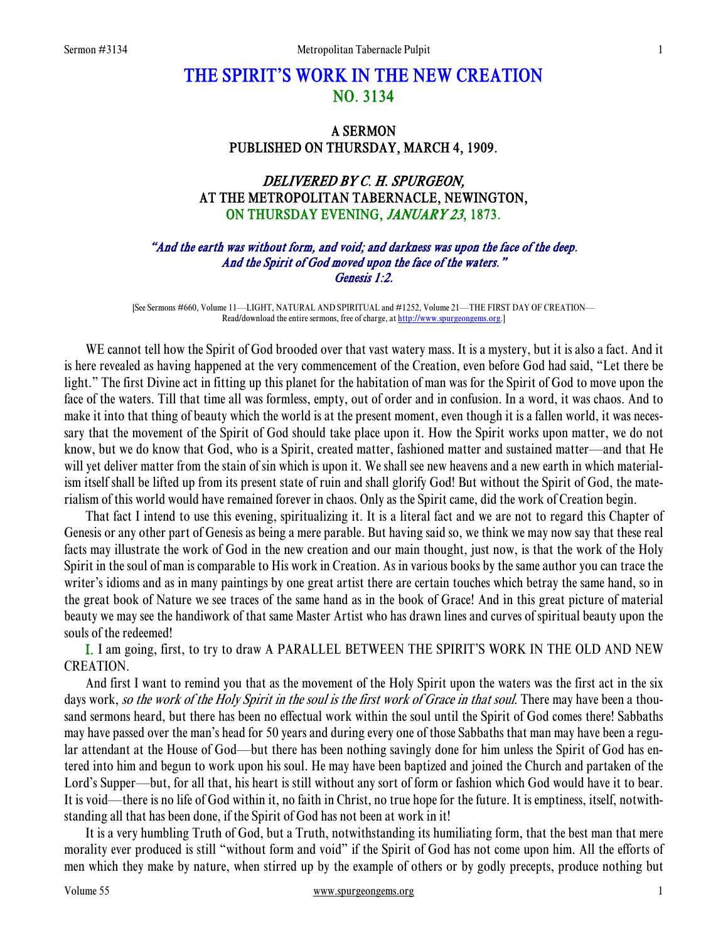# THE SPIRIT'S WORK IN THE NEW CREATION NO. 3134

## A SERMON PUBLISHED ON THURSDAY, MARCH 4, 1909.

# DELIVERED BY C. H. SPURGEON, AT THE METROPOLITAN TABERNACLE, NEWINGTON, ON THURSDAY EVENING, JANUARY 23, 1873.

#### "And the earth was without form, and void; and darkness was upon the face of the deep. And the Spirit of God moved upon the face of the waters." Genesis 1:2.

[See Sermons #660, Volume 11—LIGHT, NATURAL AND SPIRITUAL and #1252, Volume 21—THE FIRST DAY OF CREATION— Read/download the entire sermons, free of charge, at http://www.spurgeongems.org.]

WE cannot tell how the Spirit of God brooded over that vast watery mass. It is a mystery, but it is also a fact. And it is here revealed as having happened at the very commencement of the Creation, even before God had said, "Let there be light." The first Divine act in fitting up this planet for the habitation of man was for the Spirit of God to move upon the face of the waters. Till that time all was formless, empty, out of order and in confusion. In a word, it was chaos. And to make it into that thing of beauty which the world is at the present moment, even though it is a fallen world, it was necessary that the movement of the Spirit of God should take place upon it. How the Spirit works upon matter, we do not know, but we do know that God, who is a Spirit, created matter, fashioned matter and sustained matter—and that He will yet deliver matter from the stain of sin which is upon it. We shall see new heavens and a new earth in which materialism itself shall be lifted up from its present state of ruin and shall glorify God! But without the Spirit of God, the materialism of this world would have remained forever in chaos. Only as the Spirit came, did the work of Creation begin.

 That fact I intend to use this evening, spiritualizing it. It is a literal fact and we are not to regard this Chapter of Genesis or any other part of Genesis as being a mere parable. But having said so, we think we may now say that these real facts may illustrate the work of God in the new creation and our main thought, just now, is that the work of the Holy Spirit in the soul of man is comparable to His work in Creation. As in various books by the same author you can trace the writer's idioms and as in many paintings by one great artist there are certain touches which betray the same hand, so in the great book of Nature we see traces of the same hand as in the book of Grace! And in this great picture of material beauty we may see the handiwork of that same Master Artist who has drawn lines and curves of spiritual beauty upon the souls of the redeemed!

I. I am going, first, to try to draw A PARALLEL BETWEEN THE SPIRIT'S WORK IN THE OLD AND NEW CREATION.

 And first I want to remind you that as the movement of the Holy Spirit upon the waters was the first act in the six days work, so the work of the Holy Spirit in the soul is the first work of Grace in that soul. There may have been a thousand sermons heard, but there has been no effectual work within the soul until the Spirit of God comes there! Sabbaths may have passed over the man's head for 50 years and during every one of those Sabbaths that man may have been a regular attendant at the House of God—but there has been nothing savingly done for him unless the Spirit of God has entered into him and begun to work upon his soul. He may have been baptized and joined the Church and partaken of the Lord's Supper—but, for all that, his heart is still without any sort of form or fashion which God would have it to bear. It is void—there is no life of God within it, no faith in Christ, no true hope for the future. It is emptiness, itself, notwithstanding all that has been done, if the Spirit of God has not been at work in it!

 It is a very humbling Truth of God, but a Truth, notwithstanding its humiliating form, that the best man that mere morality ever produced is still "without form and void" if the Spirit of God has not come upon him. All the efforts of men which they make by nature, when stirred up by the example of others or by godly precepts, produce nothing but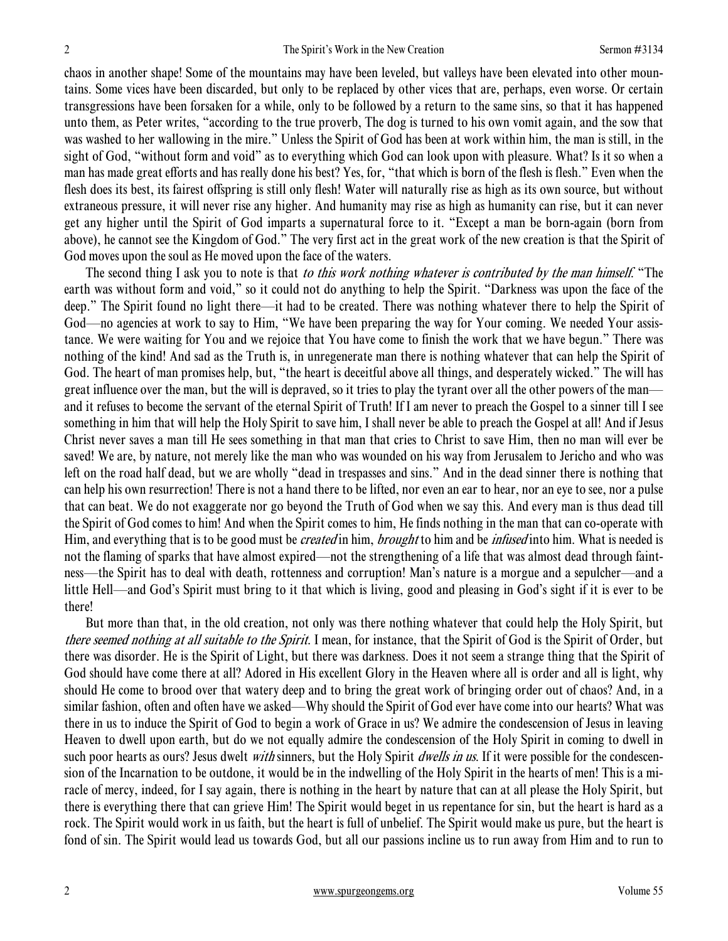chaos in another shape! Some of the mountains may have been leveled, but valleys have been elevated into other mountains. Some vices have been discarded, but only to be replaced by other vices that are, perhaps, even worse. Or certain transgressions have been forsaken for a while, only to be followed by a return to the same sins, so that it has happened unto them, as Peter writes, "according to the true proverb, The dog is turned to his own vomit again, and the sow that was washed to her wallowing in the mire." Unless the Spirit of God has been at work within him, the man is still, in the sight of God, "without form and void" as to everything which God can look upon with pleasure. What? Is it so when a man has made great efforts and has really done his best? Yes, for, "that which is born of the flesh is flesh." Even when the flesh does its best, its fairest offspring is still only flesh! Water will naturally rise as high as its own source, but without extraneous pressure, it will never rise any higher. And humanity may rise as high as humanity can rise, but it can never get any higher until the Spirit of God imparts a supernatural force to it. "Except a man be born-again (born from above), he cannot see the Kingdom of God." The very first act in the great work of the new creation is that the Spirit of God moves upon the soul as He moved upon the face of the waters.

The second thing I ask you to note is that *to this work nothing whatever is contributed by the man himself.* "The earth was without form and void," so it could not do anything to help the Spirit. "Darkness was upon the face of the deep." The Spirit found no light there—it had to be created. There was nothing whatever there to help the Spirit of God—no agencies at work to say to Him, "We have been preparing the way for Your coming. We needed Your assistance. We were waiting for You and we rejoice that You have come to finish the work that we have begun." There was nothing of the kind! And sad as the Truth is, in unregenerate man there is nothing whatever that can help the Spirit of God. The heart of man promises help, but, "the heart is deceitful above all things, and desperately wicked." The will has great influence over the man, but the will is depraved, so it tries to play the tyrant over all the other powers of the man and it refuses to become the servant of the eternal Spirit of Truth! If I am never to preach the Gospel to a sinner till I see something in him that will help the Holy Spirit to save him, I shall never be able to preach the Gospel at all! And if Jesus Christ never saves a man till He sees something in that man that cries to Christ to save Him, then no man will ever be saved! We are, by nature, not merely like the man who was wounded on his way from Jerusalem to Jericho and who was left on the road half dead, but we are wholly "dead in trespasses and sins." And in the dead sinner there is nothing that can help his own resurrection! There is not a hand there to be lifted, nor even an ear to hear, nor an eye to see, nor a pulse that can beat. We do not exaggerate nor go beyond the Truth of God when we say this. And every man is thus dead till the Spirit of God comes to him! And when the Spirit comes to him, He finds nothing in the man that can co-operate with Him, and everything that is to be good must be *created* in him, *brought* to him and be *infused* into him. What is needed is not the flaming of sparks that have almost expired—not the strengthening of a life that was almost dead through faintness—the Spirit has to deal with death, rottenness and corruption! Man's nature is a morgue and a sepulcher—and a little Hell—and God's Spirit must bring to it that which is living, good and pleasing in God's sight if it is ever to be there!

 But more than that, in the old creation, not only was there nothing whatever that could help the Holy Spirit, but there seemed nothing at all suitable to the Spirit. I mean, for instance, that the Spirit of God is the Spirit of Order, but there was disorder. He is the Spirit of Light, but there was darkness. Does it not seem a strange thing that the Spirit of God should have come there at all? Adored in His excellent Glory in the Heaven where all is order and all is light, why should He come to brood over that watery deep and to bring the great work of bringing order out of chaos? And, in a similar fashion, often and often have we asked—Why should the Spirit of God ever have come into our hearts? What was there in us to induce the Spirit of God to begin a work of Grace in us? We admire the condescension of Jesus in leaving Heaven to dwell upon earth, but do we not equally admire the condescension of the Holy Spirit in coming to dwell in such poor hearts as ours? Jesus dwelt *with* sinners, but the Holy Spirit *dwells in us*. If it were possible for the condescension of the Incarnation to be outdone, it would be in the indwelling of the Holy Spirit in the hearts of men! This is a miracle of mercy, indeed, for I say again, there is nothing in the heart by nature that can at all please the Holy Spirit, but there is everything there that can grieve Him! The Spirit would beget in us repentance for sin, but the heart is hard as a rock. The Spirit would work in us faith, but the heart is full of unbelief. The Spirit would make us pure, but the heart is fond of sin. The Spirit would lead us towards God, but all our passions incline us to run away from Him and to run to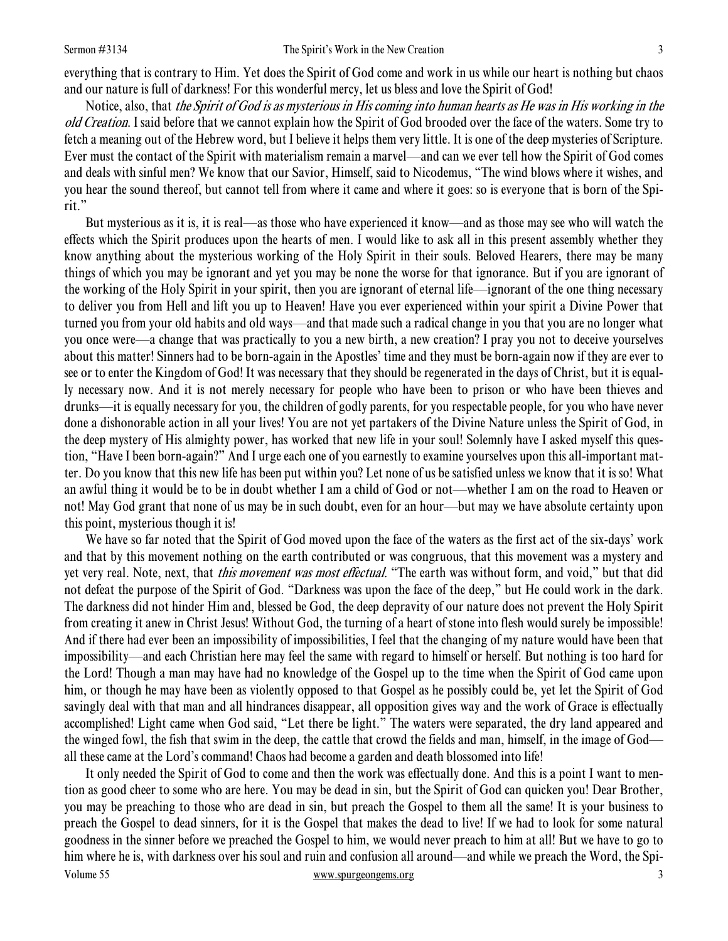everything that is contrary to Him. Yet does the Spirit of God come and work in us while our heart is nothing but chaos and our nature is full of darkness! For this wonderful mercy, let us bless and love the Spirit of God!

 Notice, also, that the Spirit of God is as mysterious in His coming into human hearts as He was in His working in the old Creation. I said before that we cannot explain how the Spirit of God brooded over the face of the waters. Some try to fetch a meaning out of the Hebrew word, but I believe it helps them very little. It is one of the deep mysteries of Scripture. Ever must the contact of the Spirit with materialism remain a marvel—and can we ever tell how the Spirit of God comes and deals with sinful men? We know that our Savior, Himself, said to Nicodemus, "The wind blows where it wishes, and you hear the sound thereof, but cannot tell from where it came and where it goes: so is everyone that is born of the Spirit."

 But mysterious as it is, it is real—as those who have experienced it know—and as those may see who will watch the effects which the Spirit produces upon the hearts of men. I would like to ask all in this present assembly whether they know anything about the mysterious working of the Holy Spirit in their souls. Beloved Hearers, there may be many things of which you may be ignorant and yet you may be none the worse for that ignorance. But if you are ignorant of the working of the Holy Spirit in your spirit, then you are ignorant of eternal life—ignorant of the one thing necessary to deliver you from Hell and lift you up to Heaven! Have you ever experienced within your spirit a Divine Power that turned you from your old habits and old ways—and that made such a radical change in you that you are no longer what you once were—a change that was practically to you a new birth, a new creation? I pray you not to deceive yourselves about this matter! Sinners had to be born-again in the Apostles' time and they must be born-again now if they are ever to see or to enter the Kingdom of God! It was necessary that they should be regenerated in the days of Christ, but it is equally necessary now. And it is not merely necessary for people who have been to prison or who have been thieves and drunks—it is equally necessary for you, the children of godly parents, for you respectable people, for you who have never done a dishonorable action in all your lives! You are not yet partakers of the Divine Nature unless the Spirit of God, in the deep mystery of His almighty power, has worked that new life in your soul! Solemnly have I asked myself this question, "Have I been born-again?" And I urge each one of you earnestly to examine yourselves upon this all-important matter. Do you know that this new life has been put within you? Let none of us be satisfied unless we know that it is so! What an awful thing it would be to be in doubt whether I am a child of God or not—whether I am on the road to Heaven or not! May God grant that none of us may be in such doubt, even for an hour—but may we have absolute certainty upon this point, mysterious though it is!

 We have so far noted that the Spirit of God moved upon the face of the waters as the first act of the six-days' work and that by this movement nothing on the earth contributed or was congruous, that this movement was a mystery and yet very real. Note, next, that this movement was most effectual. "The earth was without form, and void," but that did not defeat the purpose of the Spirit of God. "Darkness was upon the face of the deep," but He could work in the dark. The darkness did not hinder Him and, blessed be God, the deep depravity of our nature does not prevent the Holy Spirit from creating it anew in Christ Jesus! Without God, the turning of a heart of stone into flesh would surely be impossible! And if there had ever been an impossibility of impossibilities, I feel that the changing of my nature would have been that impossibility—and each Christian here may feel the same with regard to himself or herself. But nothing is too hard for the Lord! Though a man may have had no knowledge of the Gospel up to the time when the Spirit of God came upon him, or though he may have been as violently opposed to that Gospel as he possibly could be, yet let the Spirit of God savingly deal with that man and all hindrances disappear, all opposition gives way and the work of Grace is effectually accomplished! Light came when God said, "Let there be light." The waters were separated, the dry land appeared and the winged fowl, the fish that swim in the deep, the cattle that crowd the fields and man, himself, in the image of God all these came at the Lord's command! Chaos had become a garden and death blossomed into life!

Volume 55 www.spurgeongems.org 3 It only needed the Spirit of God to come and then the work was effectually done. And this is a point I want to mention as good cheer to some who are here. You may be dead in sin, but the Spirit of God can quicken you! Dear Brother, you may be preaching to those who are dead in sin, but preach the Gospel to them all the same! It is your business to preach the Gospel to dead sinners, for it is the Gospel that makes the dead to live! If we had to look for some natural goodness in the sinner before we preached the Gospel to him, we would never preach to him at all! But we have to go to him where he is, with darkness over his soul and ruin and confusion all around—and while we preach the Word, the Spi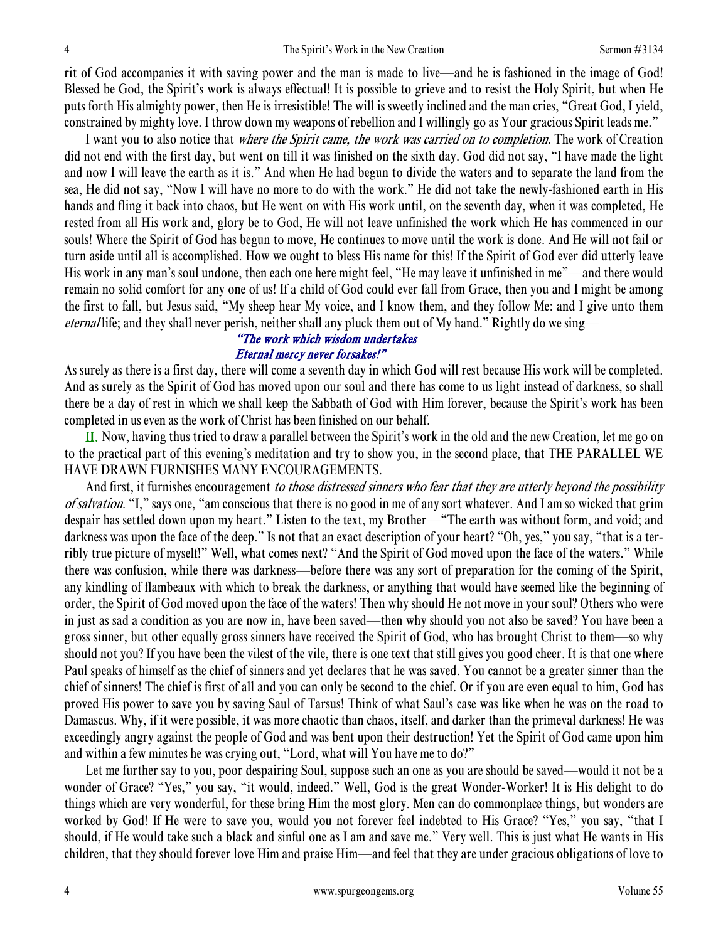rit of God accompanies it with saving power and the man is made to live—and he is fashioned in the image of God! Blessed be God, the Spirit's work is always effectual! It is possible to grieve and to resist the Holy Spirit, but when He puts forth His almighty power, then He is irresistible! The will is sweetly inclined and the man cries, "Great God, I yield, constrained by mighty love. I throw down my weapons of rebellion and I willingly go as Your gracious Spirit leads me."

I want you to also notice that *where the Spirit came, the work was carried on to completion*. The work of Creation did not end with the first day, but went on till it was finished on the sixth day. God did not say, "I have made the light and now I will leave the earth as it is." And when He had begun to divide the waters and to separate the land from the sea, He did not say, "Now I will have no more to do with the work." He did not take the newly-fashioned earth in His hands and fling it back into chaos, but He went on with His work until, on the seventh day, when it was completed, He rested from all His work and, glory be to God, He will not leave unfinished the work which He has commenced in our souls! Where the Spirit of God has begun to move, He continues to move until the work is done. And He will not fail or turn aside until all is accomplished. How we ought to bless His name for this! If the Spirit of God ever did utterly leave His work in any man's soul undone, then each one here might feel, "He may leave it unfinished in me"—and there would remain no solid comfort for any one of us! If a child of God could ever fall from Grace, then you and I might be among the first to fall, but Jesus said, "My sheep hear My voice, and I know them, and they follow Me: and I give unto them eternal life; and they shall never perish, neither shall any pluck them out of My hand." Rightly do we sing—

#### "The work which wisdom undertakes Eternal mercy never forsakes!"

As surely as there is a first day, there will come a seventh day in which God will rest because His work will be completed. And as surely as the Spirit of God has moved upon our soul and there has come to us light instead of darkness, so shall there be a day of rest in which we shall keep the Sabbath of God with Him forever, because the Spirit's work has been completed in us even as the work of Christ has been finished on our behalf.

II. Now, having thus tried to draw a parallel between the Spirit's work in the old and the new Creation, let me go on to the practical part of this evening's meditation and try to show you, in the second place, that THE PARALLEL WE HAVE DRAWN FURNISHES MANY ENCOURAGEMENTS.

And first, it furnishes encouragement to those distressed sinners who fear that they are utterly beyond the possibility of salvation. "I," says one, "am conscious that there is no good in me of any sort whatever. And I am so wicked that grim despair has settled down upon my heart." Listen to the text, my Brother—"The earth was without form, and void; and darkness was upon the face of the deep." Is not that an exact description of your heart? "Oh, yes," you say, "that is a terribly true picture of myself!" Well, what comes next? "And the Spirit of God moved upon the face of the waters." While there was confusion, while there was darkness—before there was any sort of preparation for the coming of the Spirit, any kindling of flambeaux with which to break the darkness, or anything that would have seemed like the beginning of order, the Spirit of God moved upon the face of the waters! Then why should He not move in your soul? Others who were in just as sad a condition as you are now in, have been saved—then why should you not also be saved? You have been a gross sinner, but other equally gross sinners have received the Spirit of God, who has brought Christ to them—so why should not you? If you have been the vilest of the vile, there is one text that still gives you good cheer. It is that one where Paul speaks of himself as the chief of sinners and yet declares that he was saved. You cannot be a greater sinner than the chief of sinners! The chief is first of all and you can only be second to the chief. Or if you are even equal to him, God has proved His power to save you by saving Saul of Tarsus! Think of what Saul's case was like when he was on the road to Damascus. Why, if it were possible, it was more chaotic than chaos, itself, and darker than the primeval darkness! He was exceedingly angry against the people of God and was bent upon their destruction! Yet the Spirit of God came upon him and within a few minutes he was crying out, "Lord, what will You have me to do?"

 Let me further say to you, poor despairing Soul, suppose such an one as you are should be saved—would it not be a wonder of Grace? "Yes," you say, "it would, indeed." Well, God is the great Wonder-Worker! It is His delight to do things which are very wonderful, for these bring Him the most glory. Men can do commonplace things, but wonders are worked by God! If He were to save you, would you not forever feel indebted to His Grace? "Yes," you say, "that I should, if He would take such a black and sinful one as I am and save me." Very well. This is just what He wants in His children, that they should forever love Him and praise Him—and feel that they are under gracious obligations of love to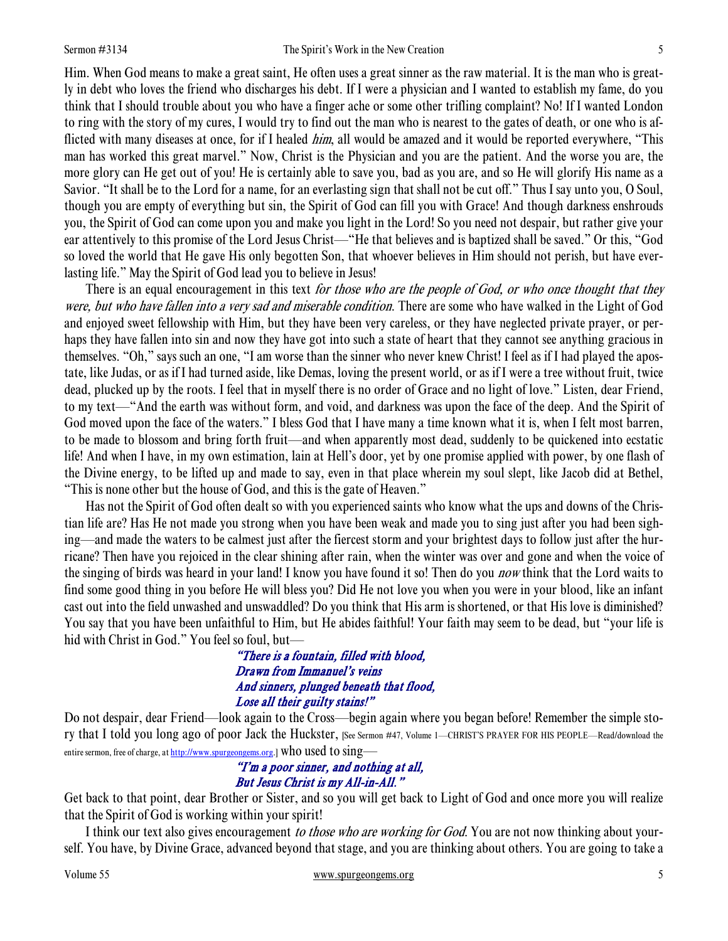Him. When God means to make a great saint, He often uses a great sinner as the raw material. It is the man who is greatly in debt who loves the friend who discharges his debt. If I were a physician and I wanted to establish my fame, do you think that I should trouble about you who have a finger ache or some other trifling complaint? No! If I wanted London to ring with the story of my cures, I would try to find out the man who is nearest to the gates of death, or one who is afflicted with many diseases at once, for if I healed *him*, all would be amazed and it would be reported everywhere, "This man has worked this great marvel." Now, Christ is the Physician and you are the patient. And the worse you are, the more glory can He get out of you! He is certainly able to save you, bad as you are, and so He will glorify His name as a Savior. "It shall be to the Lord for a name, for an everlasting sign that shall not be cut off." Thus I say unto you, O Soul, though you are empty of everything but sin, the Spirit of God can fill you with Grace! And though darkness enshrouds you, the Spirit of God can come upon you and make you light in the Lord! So you need not despair, but rather give your ear attentively to this promise of the Lord Jesus Christ—"He that believes and is baptized shall be saved." Or this, "God so loved the world that He gave His only begotten Son, that whoever believes in Him should not perish, but have everlasting life." May the Spirit of God lead you to believe in Jesus!

There is an equal encouragement in this text *for those who are the people of God, or who once thought that they* were, but who have fallen into a very sad and miserable condition. There are some who have walked in the Light of God and enjoyed sweet fellowship with Him, but they have been very careless, or they have neglected private prayer, or perhaps they have fallen into sin and now they have got into such a state of heart that they cannot see anything gracious in themselves. "Oh," says such an one, "I am worse than the sinner who never knew Christ! I feel as if I had played the apostate, like Judas, or as if I had turned aside, like Demas, loving the present world, or as if I were a tree without fruit, twice dead, plucked up by the roots. I feel that in myself there is no order of Grace and no light of love." Listen, dear Friend, to my text—"And the earth was without form, and void, and darkness was upon the face of the deep. And the Spirit of God moved upon the face of the waters." I bless God that I have many a time known what it is, when I felt most barren, to be made to blossom and bring forth fruit—and when apparently most dead, suddenly to be quickened into ecstatic life! And when I have, in my own estimation, lain at Hell's door, yet by one promise applied with power, by one flash of the Divine energy, to be lifted up and made to say, even in that place wherein my soul slept, like Jacob did at Bethel, "This is none other but the house of God, and this is the gate of Heaven."

 Has not the Spirit of God often dealt so with you experienced saints who know what the ups and downs of the Christian life are? Has He not made you strong when you have been weak and made you to sing just after you had been sighing—and made the waters to be calmest just after the fiercest storm and your brightest days to follow just after the hurricane? Then have you rejoiced in the clear shining after rain, when the winter was over and gone and when the voice of the singing of birds was heard in your land! I know you have found it so! Then do you *now* think that the Lord waits to find some good thing in you before He will bless you? Did He not love you when you were in your blood, like an infant cast out into the field unwashed and unswaddled? Do you think that His arm is shortened, or that His love is diminished? You say that you have been unfaithful to Him, but He abides faithful! Your faith may seem to be dead, but "your life is hid with Christ in God." You feel so foul, but—

> "There is a fountain, filled with blood, Drawn from Immanuel's veins And sinners, plunged beneath that flood, Lose all their guilty stains!"

Do not despair, dear Friend—look again to the Cross—begin again where you began before! Remember the simple story that I told you long ago of poor Jack the Huckster, [See Sermon #47, Volume 1—CHRIST'S PRAYER FOR HIS PEOPLE—Read/download the entire sermon, free of charge, at http://www.spurgeongems.org.] Who used to sing—

## "I'm a poor sinner, and nothing at all, But Jesus Christ is my All-in-All."

Get back to that point, dear Brother or Sister, and so you will get back to Light of God and once more you will realize that the Spirit of God is working within your spirit!

I think our text also gives encouragement to those who are working for God. You are not now thinking about yourself. You have, by Divine Grace, advanced beyond that stage, and you are thinking about others. You are going to take a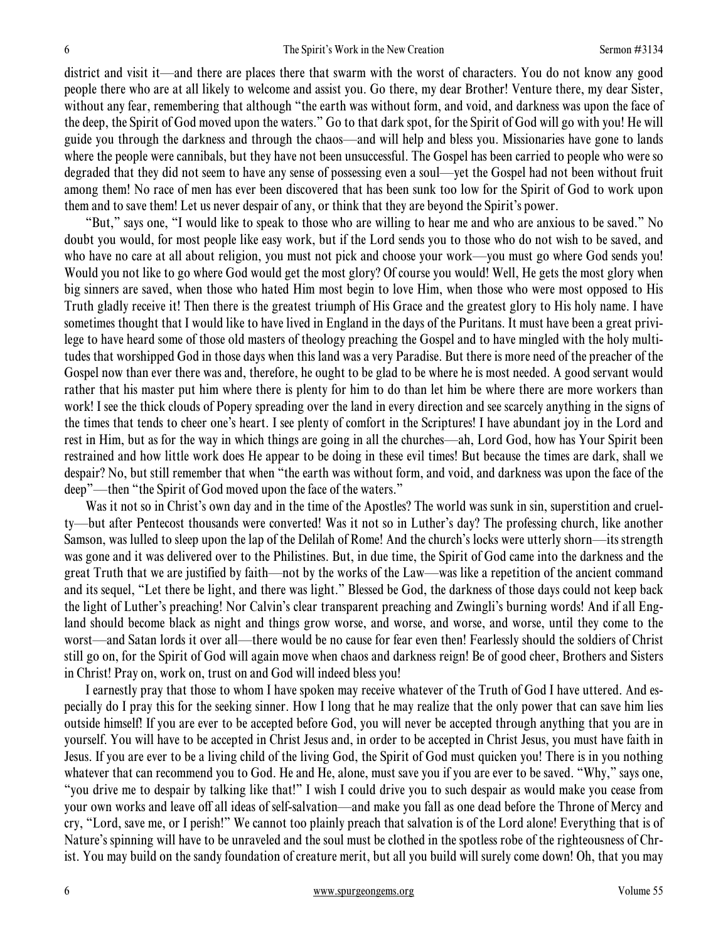district and visit it—and there are places there that swarm with the worst of characters. You do not know any good people there who are at all likely to welcome and assist you. Go there, my dear Brother! Venture there, my dear Sister, without any fear, remembering that although "the earth was without form, and void, and darkness was upon the face of the deep, the Spirit of God moved upon the waters." Go to that dark spot, for the Spirit of God will go with you! He will guide you through the darkness and through the chaos—and will help and bless you. Missionaries have gone to lands where the people were cannibals, but they have not been unsuccessful. The Gospel has been carried to people who were so degraded that they did not seem to have any sense of possessing even a soul—yet the Gospel had not been without fruit among them! No race of men has ever been discovered that has been sunk too low for the Spirit of God to work upon them and to save them! Let us never despair of any, or think that they are beyond the Spirit's power.

 "But," says one, "I would like to speak to those who are willing to hear me and who are anxious to be saved." No doubt you would, for most people like easy work, but if the Lord sends you to those who do not wish to be saved, and who have no care at all about religion, you must not pick and choose your work—you must go where God sends you! Would you not like to go where God would get the most glory? Of course you would! Well, He gets the most glory when big sinners are saved, when those who hated Him most begin to love Him, when those who were most opposed to His Truth gladly receive it! Then there is the greatest triumph of His Grace and the greatest glory to His holy name. I have sometimes thought that I would like to have lived in England in the days of the Puritans. It must have been a great privilege to have heard some of those old masters of theology preaching the Gospel and to have mingled with the holy multitudes that worshipped God in those days when this land was a very Paradise. But there is more need of the preacher of the Gospel now than ever there was and, therefore, he ought to be glad to be where he is most needed. A good servant would rather that his master put him where there is plenty for him to do than let him be where there are more workers than work! I see the thick clouds of Popery spreading over the land in every direction and see scarcely anything in the signs of the times that tends to cheer one's heart. I see plenty of comfort in the Scriptures! I have abundant joy in the Lord and rest in Him, but as for the way in which things are going in all the churches—ah, Lord God, how has Your Spirit been restrained and how little work does He appear to be doing in these evil times! But because the times are dark, shall we despair? No, but still remember that when "the earth was without form, and void, and darkness was upon the face of the deep"—then "the Spirit of God moved upon the face of the waters."

Was it not so in Christ's own day and in the time of the Apostles? The world was sunk in sin, superstition and cruelty—but after Pentecost thousands were converted! Was it not so in Luther's day? The professing church, like another Samson, was lulled to sleep upon the lap of the Delilah of Rome! And the church's locks were utterly shorn—its strength was gone and it was delivered over to the Philistines. But, in due time, the Spirit of God came into the darkness and the great Truth that we are justified by faith—not by the works of the Law—was like a repetition of the ancient command and its sequel, "Let there be light, and there was light." Blessed be God, the darkness of those days could not keep back the light of Luther's preaching! Nor Calvin's clear transparent preaching and Zwingli's burning words! And if all England should become black as night and things grow worse, and worse, and worse, and worse, until they come to the worst—and Satan lords it over all—there would be no cause for fear even then! Fearlessly should the soldiers of Christ still go on, for the Spirit of God will again move when chaos and darkness reign! Be of good cheer, Brothers and Sisters in Christ! Pray on, work on, trust on and God will indeed bless you!

 I earnestly pray that those to whom I have spoken may receive whatever of the Truth of God I have uttered. And especially do I pray this for the seeking sinner. How I long that he may realize that the only power that can save him lies outside himself! If you are ever to be accepted before God, you will never be accepted through anything that you are in yourself. You will have to be accepted in Christ Jesus and, in order to be accepted in Christ Jesus, you must have faith in Jesus. If you are ever to be a living child of the living God, the Spirit of God must quicken you! There is in you nothing whatever that can recommend you to God. He and He, alone, must save you if you are ever to be saved. "Why," says one, "you drive me to despair by talking like that!" I wish I could drive you to such despair as would make you cease from your own works and leave off all ideas of self-salvation—and make you fall as one dead before the Throne of Mercy and cry, "Lord, save me, or I perish!" We cannot too plainly preach that salvation is of the Lord alone! Everything that is of Nature's spinning will have to be unraveled and the soul must be clothed in the spotless robe of the righteousness of Christ. You may build on the sandy foundation of creature merit, but all you build will surely come down! Oh, that you may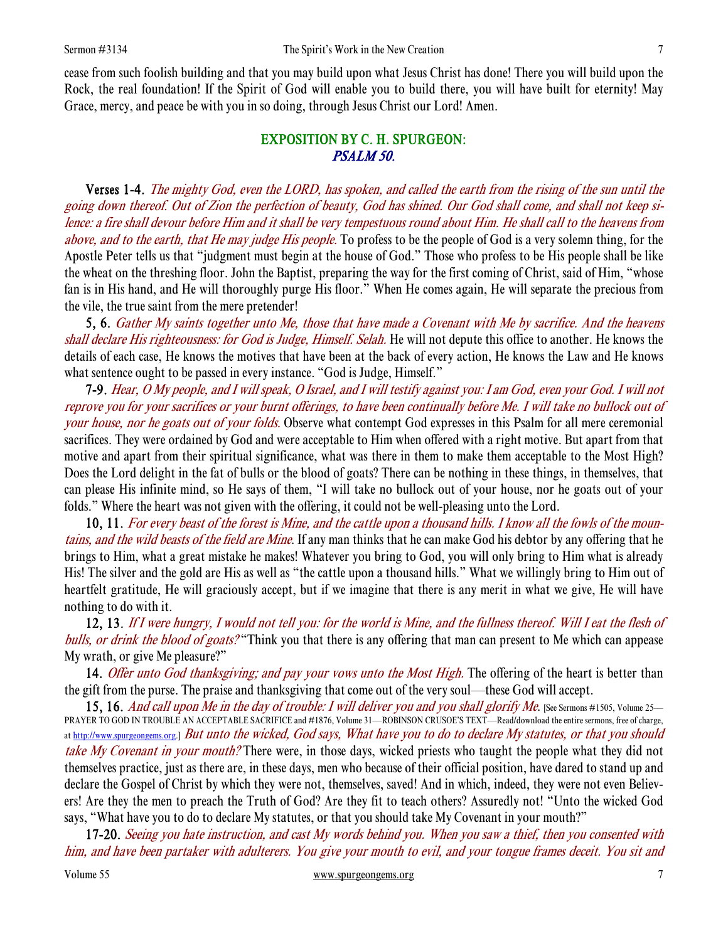cease from such foolish building and that you may build upon what Jesus Christ has done! There you will build upon the Rock, the real foundation! If the Spirit of God will enable you to build there, you will have built for eternity! May Grace, mercy, and peace be with you in so doing, through Jesus Christ our Lord! Amen.

# EXPOSITION BY C. H. SPURGEON: PSALM 50.

 Verses 1-4. The mighty God, even the LORD, has spoken, and called the earth from the rising of the sun until the going down thereof. Out of Zion the perfection of beauty, God has shined. Our God shall come, and shall not keep silence: a fire shall devour before Him and it shall be very tempestuous round about Him. He shall call to the heavens from above, and to the earth, that He may judge His people. To profess to be the people of God is a very solemn thing, for the Apostle Peter tells us that "judgment must begin at the house of God." Those who profess to be His people shall be like the wheat on the threshing floor. John the Baptist, preparing the way for the first coming of Christ, said of Him, "whose fan is in His hand, and He will thoroughly purge His floor." When He comes again, He will separate the precious from the vile, the true saint from the mere pretender!

5, 6. Gather My saints together unto Me, those that have made a Covenant with Me by sacrifice. And the heavens shall declare His righteousness: for God is Judge, Himself. Selah. He will not depute this office to another. He knows the details of each case, He knows the motives that have been at the back of every action, He knows the Law and He knows what sentence ought to be passed in every instance. "God is Judge, Himself."

7-9. Hear, O My people, and I will speak, O Israel, and I will testify against you: I am God, even your God. I will not reprove you for your sacrifices or your burnt offerings, to have been continually before Me. I will take no bullock out of your house, nor he goats out of your folds. Observe what contempt God expresses in this Psalm for all mere ceremonial sacrifices. They were ordained by God and were acceptable to Him when offered with a right motive. But apart from that motive and apart from their spiritual significance, what was there in them to make them acceptable to the Most High? Does the Lord delight in the fat of bulls or the blood of goats? There can be nothing in these things, in themselves, that can please His infinite mind, so He says of them, "I will take no bullock out of your house, nor he goats out of your folds." Where the heart was not given with the offering, it could not be well-pleasing unto the Lord.

10, 11. For every beast of the forest is Mine, and the cattle upon a thousand hills. I know all the fowls of the mountains, and the wild beasts of the field are Mine. If any man thinks that he can make God his debtor by any offering that he brings to Him, what a great mistake he makes! Whatever you bring to God, you will only bring to Him what is already His! The silver and the gold are His as well as "the cattle upon a thousand hills." What we willingly bring to Him out of heartfelt gratitude, He will graciously accept, but if we imagine that there is any merit in what we give, He will have nothing to do with it.

12, 13. If I were hungry, I would not tell you: for the world is Mine, and the fullness thereof. Will I eat the flesh of bulls, or drink the blood of goats?"Think you that there is any offering that man can present to Me which can appease My wrath, or give Me pleasure?"

14. Offer unto God thanksgiving; and pay your vows unto the Most High. The offering of the heart is better than the gift from the purse. The praise and thanksgiving that come out of the very soul—these God will accept.

15, 16. And call upon Me in the day of trouble: I will deliver you and you shall glorify Me. [See Sermons #1505, Volume 25— PRAYER TO GOD IN TROUBLE AN ACCEPTABLE SACRIFICE and #1876, Volume 31—ROBINSON CRUSOE'S TEXT—Read/download the entire sermons, free of charge, at http://www.spurgeongems.org.] But unto the wicked, God says, What have you to do to declare My statutes, or that you should take My Covenant in your mouth? There were, in those days, wicked priests who taught the people what they did not themselves practice, just as there are, in these days, men who because of their official position, have dared to stand up and declare the Gospel of Christ by which they were not, themselves, saved! And in which, indeed, they were not even Believers! Are they the men to preach the Truth of God? Are they fit to teach others? Assuredly not! "Unto the wicked God says, "What have you to do to declare My statutes, or that you should take My Covenant in your mouth?"

17-20. Seeing you hate instruction, and cast My words behind you. When you saw a thief, then you consented with him, and have been partaker with adulterers. You give your mouth to evil, and your tongue frames deceit. You sit and

Volume 55 www.spurgeongems.org 7